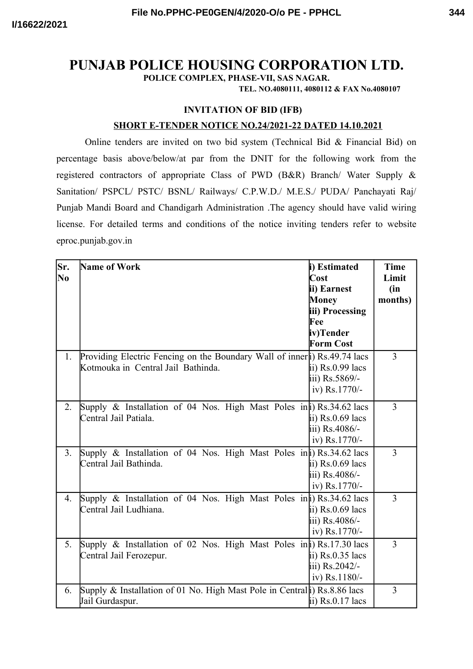# **PUNJAB POLICE HOUSING CORPORATION LTD.**

**POLICE COMPLEX, PHASE-VII, SAS NAGAR.**

**TEL. NO.4080111, 4080112 & FAX No.4080107**

### **INVITATION OF BID (IFB)**

### **SHORT E-TENDER NOTICE NO.24/2021-22 DATED 14.10.2021**

Online tenders are invited on two bid system (Technical Bid & Financial Bid) on percentage basis above/below/at par from the DNIT for the following work from the registered contractors of appropriate Class of PWD (B&R) Branch/ Water Supply & Sanitation/ PSPCL/ PSTC/ BSNL/ Railways/ C.P.W.D./ M.E.S./ PUDA/ Panchayati Raj/ Punjab Mandi Board and Chandigarh Administration .The agency should have valid wiring license. For detailed terms and conditions of the notice inviting tenders refer to website eproc.punjab.gov.in

| Sr.<br>No | Name of Work                                                                                                    | i) Estimated<br>Cost<br>ii) Earnest<br><b>Money</b><br>iii) Processing<br>Fee<br>iv)Tender<br><b>Form Cost</b> | <b>Time</b><br>Limit<br>(in<br>months) |
|-----------|-----------------------------------------------------------------------------------------------------------------|----------------------------------------------------------------------------------------------------------------|----------------------------------------|
| 1.        | Providing Electric Fencing on the Boundary Wall of inner i) Rs.49.74 lacs<br>Kotmouka in Central Jail Bathinda. | ii) $Rs.0.99$ lacs<br>iii) Rs.5869/-<br>iv) Rs.1770/-                                                          | 3                                      |
| 2.        | Supply & Installation of 04 Nos. High Mast Poles in i) Rs.34.62 lacs<br>Central Jail Patiala.                   | ii) Rs.0.69 lacs<br>iii) Rs.4086/-<br>iv) Rs.1770/-                                                            | 3                                      |
| 3.        | Supply & Installation of 04 Nos. High Mast Poles in a) Rs.34.62 lacs<br>Central Jail Bathinda.                  | ii) Rs.0.69 lacs<br>iii) Rs.4086/-<br>iv) Rs.1770/-                                                            | 3                                      |
| 4.        | Supply & Installation of 04 Nos. High Mast Poles in a) Rs.34.62 lacs<br>Central Jail Ludhiana.                  | ii) $Rs.0.69$ lacs<br>iii) Rs.4086/-<br>iv) Rs.1770/-                                                          | 3                                      |
| 5.        | Supply & Installation of 02 Nos. High Mast Poles in i) Rs.17.30 lacs<br>Central Jail Ferozepur.                 | ii) $Rs.0.35$ lacs<br>iii) Rs.2042/-<br>iv) Rs.1180/-                                                          | 3                                      |
| 6.        | Supply & Installation of 01 No. High Mast Pole in Central i) Rs.8.86 lacs<br>Jail Gurdaspur.                    | ii) $Rs.0.17$ lacs                                                                                             | 3                                      |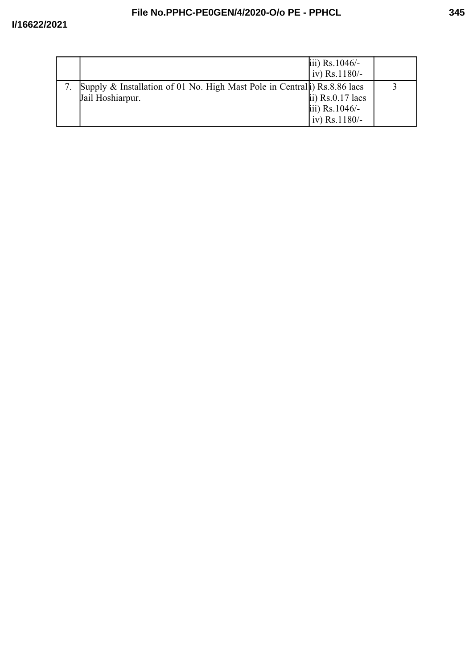|                                                                                               | iii) $Rs.1046/-$<br>$iv)$ Rs.1180/-                     |  |
|-----------------------------------------------------------------------------------------------|---------------------------------------------------------|--|
| Supply & Installation of 01 No. High Mast Pole in Central i) Rs.8.86 lacs<br>Jail Hoshiarpur. | ii) $Rs.0.17$ lacs<br>iii) $Rs.1046/-$<br>iv) Rs.1180/- |  |